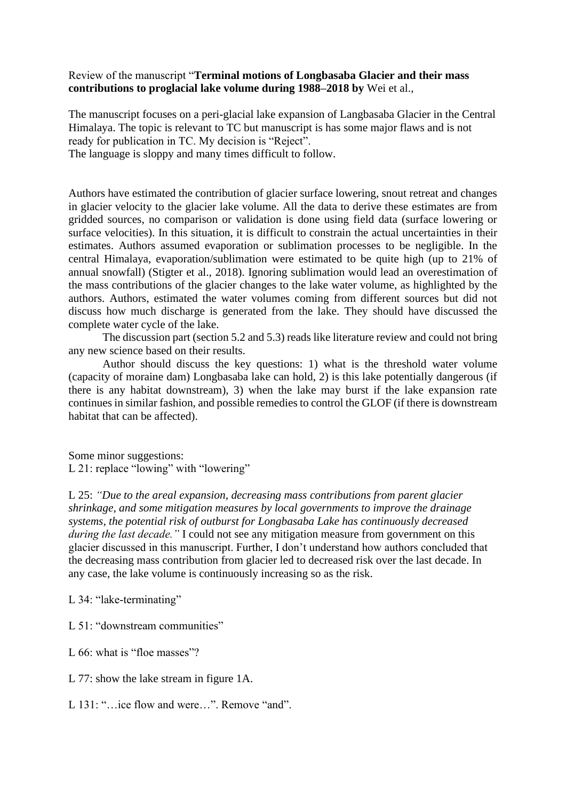## Review of the manuscript "**Terminal motions of Longbasaba Glacier and their mass contributions to proglacial lake volume during 1988–2018 by** Wei et al.,

The manuscript focuses on a peri-glacial lake expansion of Langbasaba Glacier in the Central Himalaya. The topic is relevant to TC but manuscript is has some major flaws and is not ready for publication in TC. My decision is "Reject".

The language is sloppy and many times difficult to follow.

Authors have estimated the contribution of glacier surface lowering, snout retreat and changes in glacier velocity to the glacier lake volume. All the data to derive these estimates are from gridded sources, no comparison or validation is done using field data (surface lowering or surface velocities). In this situation, it is difficult to constrain the actual uncertainties in their estimates. Authors assumed evaporation or sublimation processes to be negligible. In the central Himalaya, evaporation/sublimation were estimated to be quite high (up to 21% of annual snowfall) (Stigter et al., 2018). Ignoring sublimation would lead an overestimation of the mass contributions of the glacier changes to the lake water volume, as highlighted by the authors. Authors, estimated the water volumes coming from different sources but did not discuss how much discharge is generated from the lake. They should have discussed the complete water cycle of the lake.

The discussion part (section 5.2 and 5.3) reads like literature review and could not bring any new science based on their results.

Author should discuss the key questions: 1) what is the threshold water volume (capacity of moraine dam) Longbasaba lake can hold, 2) is this lake potentially dangerous (if there is any habitat downstream), 3) when the lake may burst if the lake expansion rate continues in similar fashion, and possible remedies to control the GLOF (if there is downstream habitat that can be affected).

Some minor suggestions: L 21: replace "lowing" with "lowering"

L 25: *"Due to the areal expansion, decreasing mass contributions from parent glacier shrinkage, and some mitigation measures by local governments to improve the drainage systems, the potential risk of outburst for Longbasaba Lake has continuously decreased during the last decade."* I could not see any mitigation measure from government on this glacier discussed in this manuscript. Further, I don't understand how authors concluded that the decreasing mass contribution from glacier led to decreased risk over the last decade. In any case, the lake volume is continuously increasing so as the risk.

## L 34: "lake-terminating"

- L 51: "downstream communities"
- L 66: what is "floe masses"?
- L 77: show the lake stream in figure 1A.
- L 131: "…ice flow and were…". Remove "and".